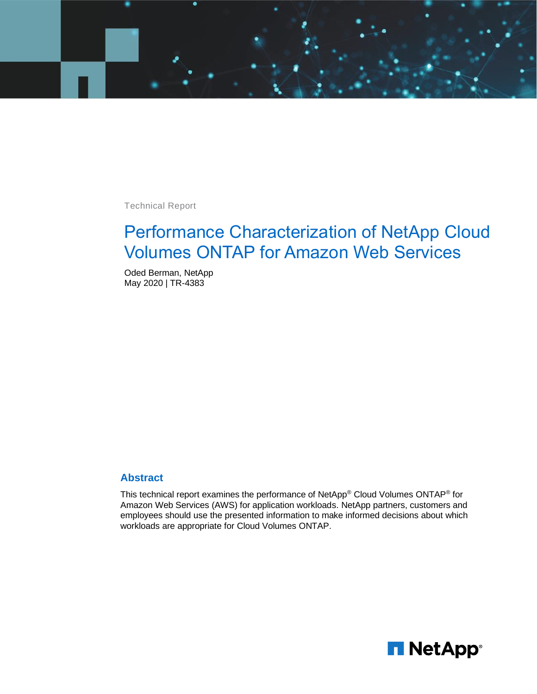

Technical Report

# Performance Characterization of NetApp Cloud Volumes ONTAP for Amazon Web Services

Oded Berman, NetApp May 2020 | TR-4383

#### **Abstract**

This technical report examines the performance of NetApp® Cloud Volumes ONTAP® for Amazon Web Services (AWS) for application workloads. NetApp partners, customers and employees should use the presented information to make informed decisions about which workloads are appropriate for Cloud Volumes ONTAP.

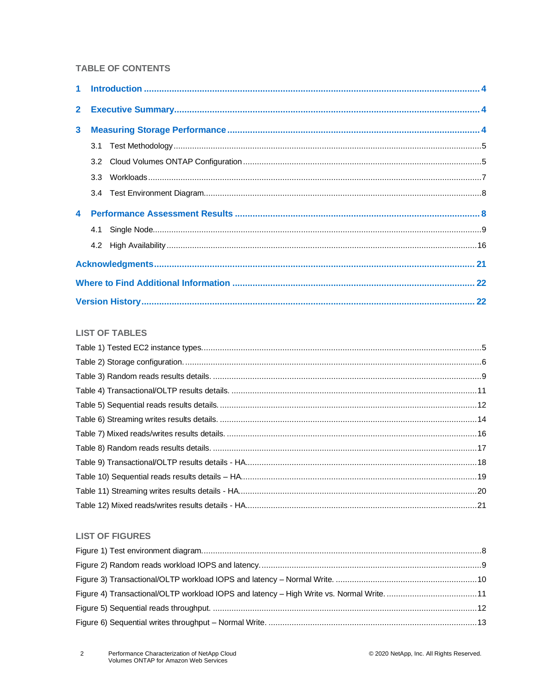#### **TABLE OF CONTENTS**

| 3 <sup>1</sup> |  |  |  |  |  |  |
|----------------|--|--|--|--|--|--|
|                |  |  |  |  |  |  |
|                |  |  |  |  |  |  |
|                |  |  |  |  |  |  |
|                |  |  |  |  |  |  |
|                |  |  |  |  |  |  |
|                |  |  |  |  |  |  |
|                |  |  |  |  |  |  |
|                |  |  |  |  |  |  |
|                |  |  |  |  |  |  |
|                |  |  |  |  |  |  |

#### **LIST OF TABLES**

#### **LIST OF FIGURES**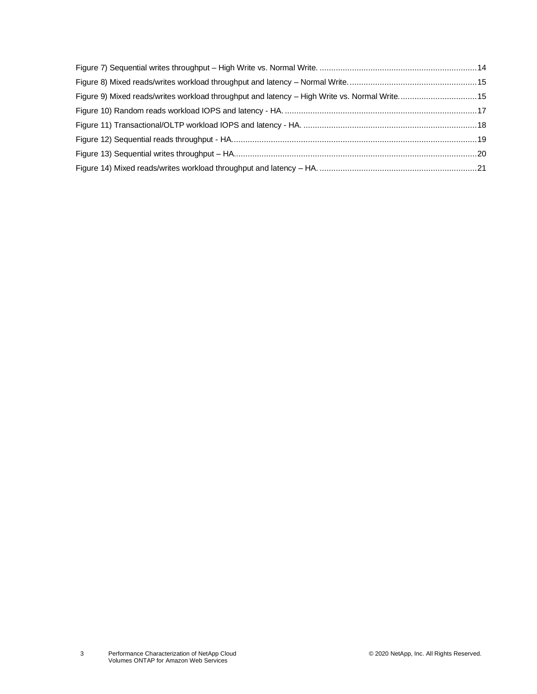| Figure 9) Mixed reads/writes workload throughput and latency - High Write vs. Normal Write 15 |  |
|-----------------------------------------------------------------------------------------------|--|
|                                                                                               |  |
|                                                                                               |  |
|                                                                                               |  |
|                                                                                               |  |
|                                                                                               |  |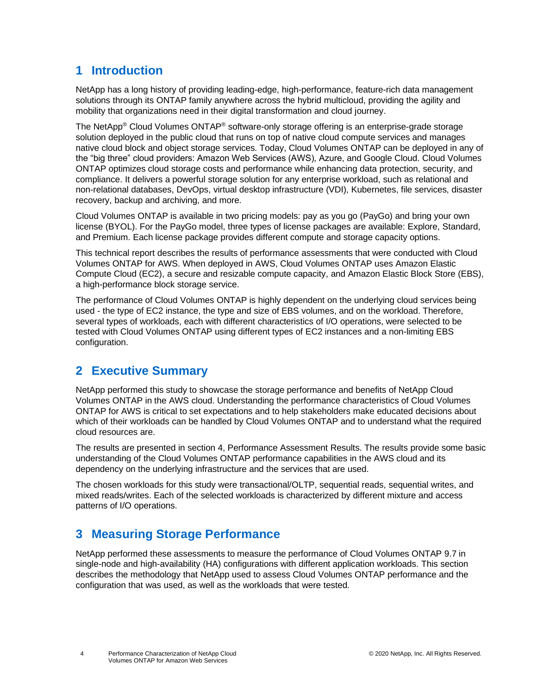# <span id="page-3-0"></span>**1 Introduction**

NetApp has a long history of providing leading-edge, high-performance, feature-rich data management solutions through its ONTAP family anywhere across the hybrid multicloud, providing the agility and mobility that organizations need in their digital transformation and cloud journey.

The NetApp® Cloud Volumes ONTAP® software-only storage offering is an enterprise-grade storage solution deployed in the public cloud that runs on top of native cloud compute services and manages native cloud block and object storage services. Today, Cloud Volumes ONTAP can be deployed in any of the "big three" cloud providers: Amazon Web Services (AWS), Azure, and Google Cloud. Cloud Volumes ONTAP optimizes cloud storage costs and performance while enhancing data protection, security, and compliance. It delivers a powerful storage solution for any enterprise workload, such as relational and non-relational databases, DevOps, virtual desktop infrastructure (VDI), Kubernetes, file services, disaster recovery, backup and archiving, and more.

Cloud Volumes ONTAP is available in two pricing models: pay as you go (PayGo) and bring your own license (BYOL). For the PayGo model, three types of license packages are available: Explore, Standard, and Premium. Each license package provides different compute and storage capacity options.

This technical report describes the results of performance assessments that were conducted with Cloud Volumes ONTAP for AWS. When deployed in AWS, Cloud Volumes ONTAP uses Amazon Elastic Compute Cloud (EC2), a secure and resizable compute capacity, and Amazon Elastic Block Store (EBS), a high-performance block storage service.

The performance of Cloud Volumes ONTAP is highly dependent on the underlying cloud services being used - the type of EC2 instance, the type and size of EBS volumes, and on the workload. Therefore, several types of workloads, each with different characteristics of I/O operations, were selected to be tested with Cloud Volumes ONTAP using different types of EC2 instances and a non-limiting EBS configuration.

# <span id="page-3-1"></span>**2 Executive Summary**

NetApp performed this study to showcase the storage performance and benefits of NetApp Cloud Volumes ONTAP in the AWS cloud. Understanding the performance characteristics of Cloud Volumes ONTAP for AWS is critical to set expectations and to help stakeholders make educated decisions about which of their workloads can be handled by Cloud Volumes ONTAP and to understand what the required cloud resources are.

The results are presented in section [4,](#page-7-1) [Performance Assessment Results.](#page-7-1) The results provide some basic understanding of the Cloud Volumes ONTAP performance capabilities in the AWS cloud and its dependency on the underlying infrastructure and the services that are used.

The chosen workloads for this study were transactional/OLTP, sequential reads, sequential writes, and mixed reads/writes. Each of the selected workloads is characterized by different mixture and access patterns of I/O operations.

# <span id="page-3-2"></span>**3 Measuring Storage Performance**

NetApp performed these assessments to measure the performance of Cloud Volumes ONTAP 9.7 in single-node and high-availability (HA) configurations with different application workloads. This section describes the methodology that NetApp used to assess Cloud Volumes ONTAP performance and the configuration that was used, as well as the workloads that were tested.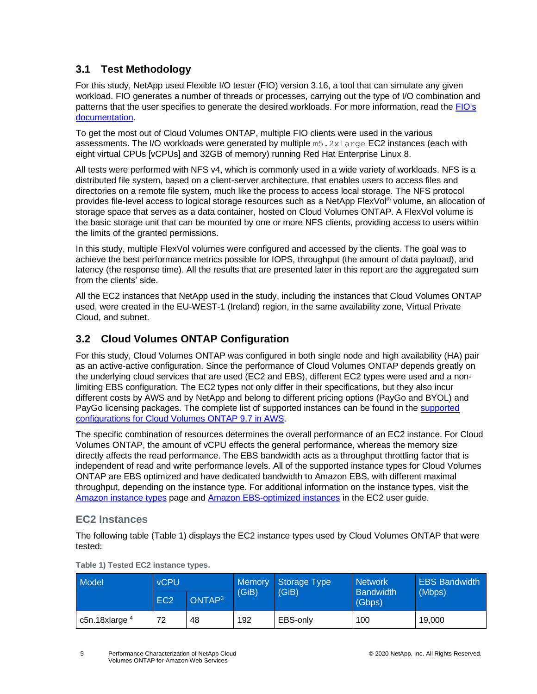### <span id="page-4-0"></span>**3.1 Test Methodology**

For this study, NetApp used Flexible I/O tester (FIO) version 3.16, a tool that can simulate any given workload. FIO generates a number of threads or processes, carrying out the type of I/O combination and patterns that the user specifies to generate the desired workloads. For more information, read the [FIO's](https://fio.readthedocs.io/en/latest/)  [documentation.](https://fio.readthedocs.io/en/latest/)

To get the most out of Cloud Volumes ONTAP, multiple FIO clients were used in the various assessments. The I/O workloads were generated by multiple m5.2xlarge EC2 instances (each with eight virtual CPUs [vCPUs] and 32GB of memory) running Red Hat Enterprise Linux 8.

All tests were performed with NFS v4, which is commonly used in a wide variety of workloads. NFS is a distributed file system, based on a client-server architecture, that enables users to access files and directories on a remote file system, much like the process to access local storage. The NFS protocol provides file-level access to logical storage resources such as a NetApp FlexVol® volume, an allocation of storage space that serves as a data container, hosted on Cloud Volumes ONTAP. A FlexVol volume is the basic storage unit that can be mounted by one or more NFS clients, providing access to users within the limits of the granted permissions.

In this study, multiple FlexVol volumes were configured and accessed by the clients. The goal was to achieve the best performance metrics possible for IOPS, throughput (the amount of data payload), and latency (the response time). All the results that are presented later in this report are the aggregated sum from the clients' side.

All the EC2 instances that NetApp used in the study, including the instances that Cloud Volumes ONTAP used, were created in the EU-WEST-1 (Ireland) region, in the same availability zone, Virtual Private Cloud, and subnet.

# <span id="page-4-1"></span>**3.2 Cloud Volumes ONTAP Configuration**

For this study, Cloud Volumes ONTAP was configured in both single node and high availability (HA) pair as an active-active configuration. Since the performance of Cloud Volumes ONTAP depends greatly on the underlying cloud services that are used (EC2 and EBS), different EC2 types were used and a nonlimiting EBS configuration. The EC2 types not only differ in their specifications, but they also incur different costs by AWS and by NetApp and belong to different pricing options (PayGo and BYOL) and PayGo licensing packages. The complete list of supported instances can be found in the [supported](https://docs.netapp.com/us-en/cloud-volumes-ontap/reference_configs_aws_97.html#supported-configurations-by-license)  configurations for [Cloud Volumes ONTAP 9.7 in AWS.](https://docs.netapp.com/us-en/cloud-volumes-ontap/reference_configs_aws_97.html#supported-configurations-by-license)

The specific combination of resources determines the overall performance of an EC2 instance. For Cloud Volumes ONTAP, the amount of vCPU effects the general performance, whereas the memory size directly affects the read performance. The EBS bandwidth acts as a throughput throttling factor that is independent of read and write performance levels. All of the supported instance types for Cloud Volumes ONTAP are EBS optimized and have dedicated bandwidth to Amazon EBS, with different maximal throughput, depending on the instance type. For additional information on the instance types, visit the [Amazon instance types](https://aws.amazon.com/ec2/instance-types/) page and [Amazon EBS-optimized instances](https://docs.aws.amazon.com/AWSEC2/latest/UserGuide/ebs-optimized.html) in the EC2 user guide.

### **EC2 Instances**

The following table [\(Table 1\)](#page-4-2) displays the EC2 instance types used by Cloud Volumes ONTAP that were tested:

| Model            | <b>vCPU</b>     |                    |       | Memory Storage Type<br>(GiB) | <b>Network</b>             | <b>EBS Bandwidth</b> |
|------------------|-----------------|--------------------|-------|------------------------------|----------------------------|----------------------|
|                  | EC <sub>2</sub> | ONTAP <sup>3</sup> | (GiB) |                              | <b>Bandwidth</b><br>(Gbps) | (Mbps)               |
| c5n.18xlarge $4$ | 72              | 48                 | 192   | EBS-only                     | 100                        | 19,000               |

<span id="page-4-2"></span>**Table 1) Tested EC2 instance types.**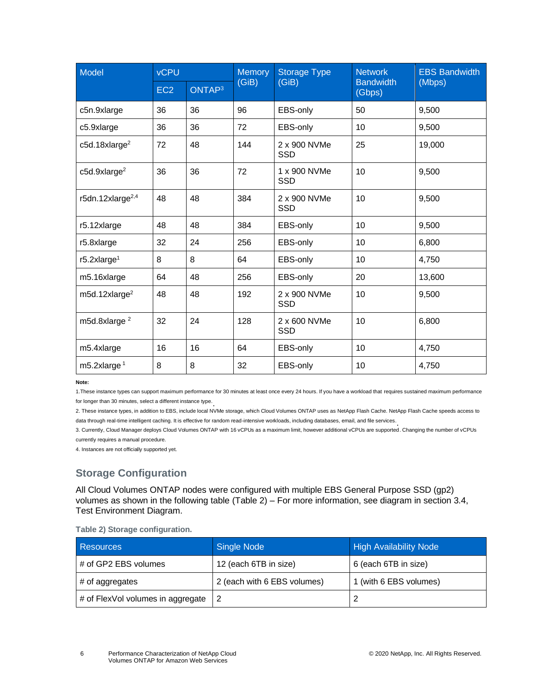| Model                        | <b>vCPU</b>     |                    | <b>Memory</b> | <b>Storage Type</b>        | <b>Network</b>             | <b>EBS Bandwidth</b> |
|------------------------------|-----------------|--------------------|---------------|----------------------------|----------------------------|----------------------|
|                              | EC <sub>2</sub> | ONTAP <sup>3</sup> | (GiB)         | (GiB)                      | <b>Bandwidth</b><br>(Gbps) | (Mbps)               |
| c5n.9xlarge                  | 36              | 36                 | 96            | EBS-only                   | 50                         | 9,500                |
| c5.9xlarge                   | 36              | 36                 | 72            | EBS-only                   | 10                         | 9,500                |
| c5d.18xlarge <sup>2</sup>    | 72              | 48                 | 144           | 2 x 900 NVMe<br><b>SSD</b> | 25                         | 19,000               |
| c5d.9xlarge <sup>2</sup>     | 36              | 36                 | 72            | 1 x 900 NVMe<br><b>SSD</b> | 10                         | 9,500                |
| r5dn.12xlarge <sup>2,4</sup> | 48              | 48                 | 384           | 2 x 900 NVMe<br><b>SSD</b> | 10                         | 9,500                |
| r5.12xlarge                  | 48              | 48                 | 384           | EBS-only                   | 10                         | 9,500                |
| r5.8xlarge                   | 32              | 24                 | 256           | EBS-only                   | 10                         | 6,800                |
| $r5.2x$ large <sup>1</sup>   | 8               | 8                  | 64            | EBS-only                   | 10                         | 4,750                |
| m5.16xlarge                  | 64              | 48                 | 256           | EBS-only                   | 20                         | 13,600               |
| m5d.12xlarge <sup>2</sup>    | 48              | 48                 | 192           | 2 x 900 NVMe<br><b>SSD</b> | 10                         | 9,500                |
| m5d.8xlarge <sup>2</sup>     | 32              | 24                 | 128           | 2 x 600 NVMe<br><b>SSD</b> | 10                         | 6,800                |
| m5.4xlarge                   | 16              | 16                 | 64            | EBS-only                   | 10                         | 4,750                |
| m5.2xlarge $1$               | 8               | 8                  | 32            | EBS-only                   | 10                         | 4,750                |

**Note:**

1.These instance types can support maximum performance for 30 minutes at least once every 24 hours. If you have a workload that requires sustained maximum performance for longer than 30 minutes, select a different instance type. .

2. These instance types, in addition to EBS, include local NVMe storage, which Cloud Volumes ONTAP uses as NetApp Flash Cache. NetApp Flash Cache speeds access to data through real-time intelligent caching. It is effective for random read-intensive workloads, including databases, email, and file services. .

3. Currently, Cloud Manager deploys Cloud Volumes ONTAP with 16 vCPUs as a maximum limit, however additional vCPUs are supported. Changing the number of vCPUs currently requires a manual procedure.

4. Instances are not officially supported yet.

# **Storage Configuration**

All Cloud Volumes ONTAP nodes were configured with multiple EBS General Purpose SSD (gp2) volumes as shown in the following table [\(Table 2\)](#page-5-0) – For more information, see diagram in section [3.4,](#page-7-0) [Test Environment Diagram.](#page-7-0)

<span id="page-5-0"></span>

|  | Table 2) Storage configuration. |
|--|---------------------------------|
|  |                                 |

| <b>Resources</b>                  | Single Node                 | <b>High Availability Node</b> |
|-----------------------------------|-----------------------------|-------------------------------|
| # of GP2 EBS volumes              | 12 (each 6TB in size)       | 6 (each 6TB in size)          |
| # of aggregates                   | 2 (each with 6 EBS volumes) | 1 (with 6 EBS volumes)        |
| # of FlexVol volumes in aggregate |                             |                               |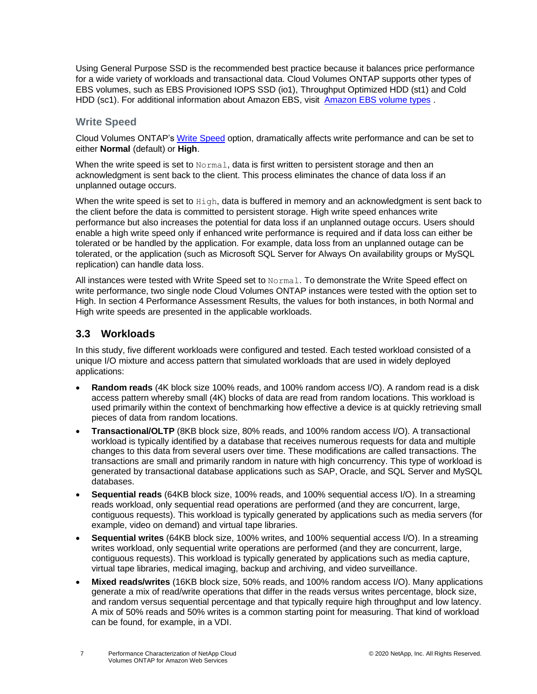Using General Purpose SSD is the recommended best practice because it balances price performance for a wide variety of workloads and transactional data. Cloud Volumes ONTAP supports other types of EBS volumes, such as EBS Provisioned IOPS SSD (io1), Throughput Optimized HDD (st1) and Cold HDD (sc1). For additional information about Amazon EBS, visit [Amazon EBS volume types](https://aws.amazon.com/ebs/features/?nc=sn&loc=1) .

### **Write Speed**

Cloud Volumes ONTAP's [Write Speed](https://docs.netapp.com/us-en/occm/task_planning_your_config.html#understanding-storage-limits) option, dramatically affects write performance and can be set to either **Normal** (default) or **High**.

When the write speed is set to  $Normal$ , data is first written to persistent storage and then an acknowledgment is sent back to the client. This process eliminates the chance of data loss if an unplanned outage occurs.

When the write speed is set to High, data is buffered in memory and an acknowledgment is sent back to the client before the data is committed to persistent storage. High write speed enhances write performance but also increases the potential for data loss if an unplanned outage occurs. Users should enable a high write speed only if enhanced write performance is required and if data loss can either be tolerated or be handled by the application. For example, data loss from an unplanned outage can be tolerated, or the application (such as Microsoft SQL Server for Always On availability groups or MySQL replication) can handle data loss.

All instances were tested with Write Speed set to Normal. To demonstrate the Write Speed effect on write performance, two single node Cloud Volumes ONTAP instances were tested with the option set to High. In section [4](#page-7-1) [Performance Assessment Results,](#page-7-1) the values for both instances, in both Normal and High write speeds are presented in the applicable workloads.

#### <span id="page-6-0"></span>**3.3 Workloads**

In this study, five different workloads were configured and tested. Each tested workload consisted of a unique I/O mixture and access pattern that simulated workloads that are used in widely deployed applications:

- **Random reads** (4K block size 100% reads, and 100% random access I/O). A random read is a disk access pattern whereby small (4K) blocks of data are read from random locations. This workload is used primarily within the context of benchmarking how effective a device is at quickly retrieving small pieces of data from random locations.
- **Transactional/OLTP** (8KB block size, 80% reads, and 100% random access I/O). A transactional workload is typically identified by a database that receives numerous requests for data and multiple changes to this data from several users over time. These modifications are called transactions. The transactions are small and primarily random in nature with high concurrency. This type of workload is generated by transactional database applications such as SAP, Oracle, and SQL Server and MySQL databases.
- **Sequential reads** (64KB block size, 100% reads, and 100% sequential access I/O). In a streaming reads workload, only sequential read operations are performed (and they are concurrent, large, contiguous requests). This workload is typically generated by applications such as media servers (for example, video on demand) and virtual tape libraries.
- **Sequential writes** (64KB block size, 100% writes, and 100% sequential access I/O). In a streaming writes workload, only sequential write operations are performed (and they are concurrent, large, contiguous requests). This workload is typically generated by applications such as media capture, virtual tape libraries, medical imaging, backup and archiving, and video surveillance.
- **Mixed reads/writes** (16KB block size, 50% reads, and 100% random access I/O). Many applications generate a mix of read/write operations that differ in the reads versus writes percentage, block size, and random versus sequential percentage and that typically require high throughput and low latency. A mix of 50% reads and 50% writes is a common starting point for measuring. That kind of workload can be found, for example, in a VDI.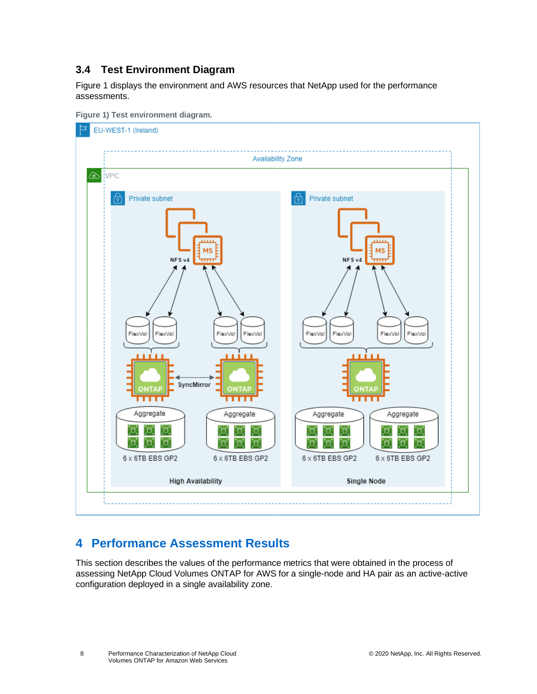### <span id="page-7-0"></span>**3.4 Test Environment Diagram**

[Figure 1](#page-7-2) displays the environment and AWS resources that NetApp used for the performance assessments.



<span id="page-7-2"></span>

# <span id="page-7-1"></span>**4 Performance Assessment Results**

This section describes the values of the performance metrics that were obtained in the process of assessing NetApp Cloud Volumes ONTAP for AWS for a single-node and HA pair as an active-active configuration deployed in a single availability zone.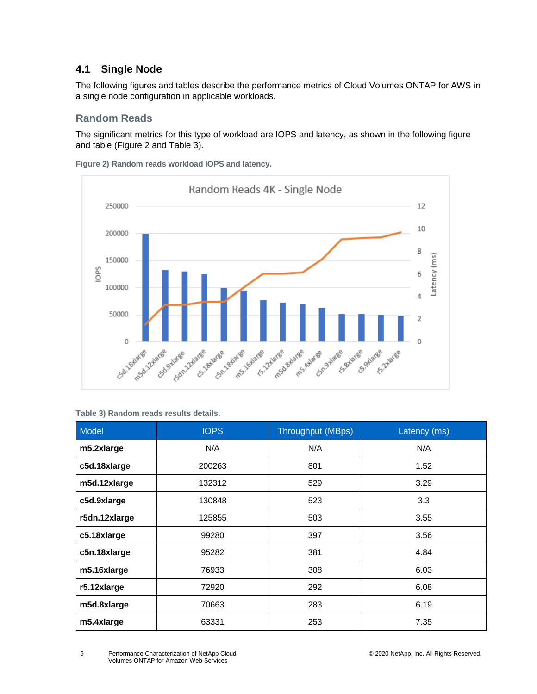### <span id="page-8-0"></span>**4.1 Single Node**

The following figures and tables describe the performance metrics of Cloud Volumes ONTAP for AWS in a single node configuration in applicable workloads.

#### **Random Reads**

The significant metrics for this type of workload are IOPS and latency, as shown in the following figure and table [\(Figure 2](#page-8-2) and [Table 3\)](#page-8-1).

<span id="page-8-2"></span>**Figure 2) Random reads workload IOPS and latency.**



<span id="page-8-1"></span>**Table 3) Random reads results details.**

| <b>Model</b>  | <b>IOPS</b> | <b>Throughput (MBps)</b> | Latency (ms) |
|---------------|-------------|--------------------------|--------------|
| m5.2xlarge    | N/A         | N/A                      | N/A          |
| c5d.18xlarge  | 200263      | 801                      | 1.52         |
| m5d.12xlarge  | 132312      | 529                      | 3.29         |
| c5d.9xlarge   | 130848      | 523                      | 3.3          |
| r5dn.12xlarge | 125855      | 503                      | 3.55         |
| c5.18xlarge   | 99280       | 397                      | 3.56         |
| c5n.18xlarge  | 95282       | 381                      | 4.84         |
| m5.16xlarge   | 76933       | 308                      | 6.03         |
| r5.12xlarge   | 72920       | 292                      | 6.08         |
| m5d.8xlarge   | 70663       | 283                      | 6.19         |
| m5.4xlarge    | 63331       | 253                      | 7.35         |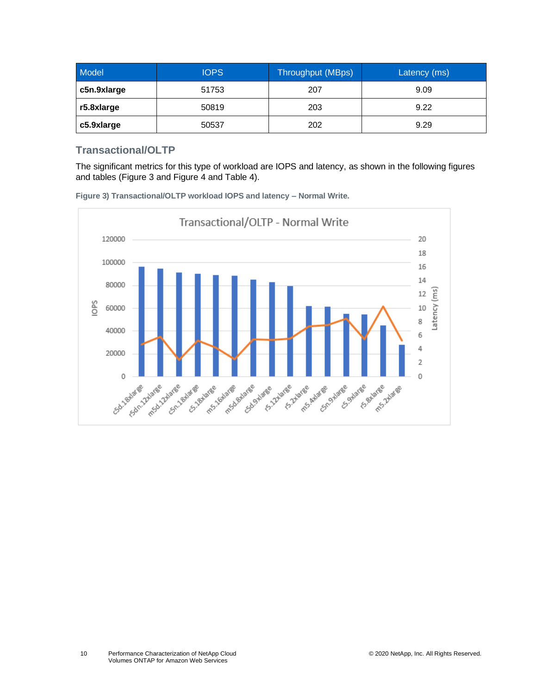| Model       | <b>IOPS</b> | Throughput (MBps) | Latency (ms) |
|-------------|-------------|-------------------|--------------|
| c5n.9xlarge | 51753       | 207               | 9.09         |
| r5.8xlarge  | 50819       | 203               | 9.22         |
| c5.9xlarge  | 50537       | 202               | 9.29         |

### **Transactional/OLTP**

The significant metrics for this type of workload are IOPS and latency, as shown in the following figures and tables [\(Figure 3](#page-9-0) and [Figure 4](#page-10-1) an[d Table 4\)](#page-10-0).

<span id="page-9-0"></span>

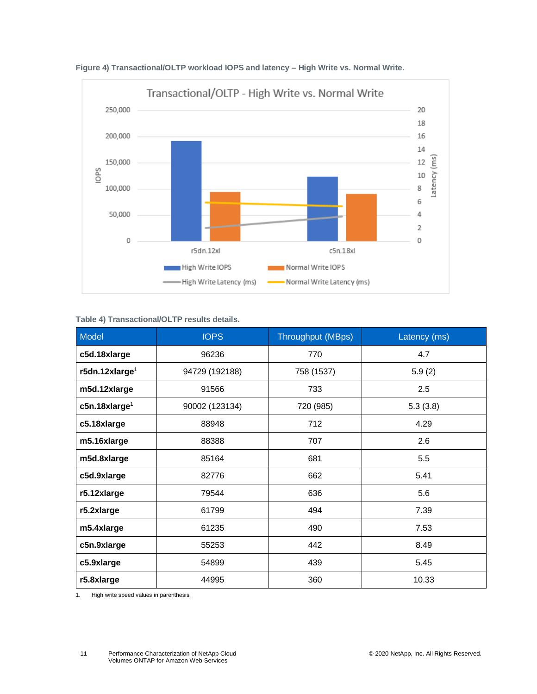

<span id="page-10-1"></span>**Figure 4) Transactional/OLTP workload IOPS and latency – High Write vs. Normal Write.**

#### <span id="page-10-0"></span>**Table 4) Transactional/OLTP results details.**

| Model                        | <b>IOPS</b>    | <b>Throughput (MBps)</b> | Latency (ms) |
|------------------------------|----------------|--------------------------|--------------|
| c5d.18xlarge                 | 96236          | 770                      | 4.7          |
| r5dn.12xlarge <sup>1</sup>   | 94729 (192188) | 758 (1537)               | 5.9(2)       |
| m5d.12xlarge                 | 91566          | 733                      | 2.5          |
| $c$ 5n.18xlarge <sup>1</sup> | 90002 (123134) | 720 (985)                | 5.3(3.8)     |
| c5.18xlarge                  | 88948          | 712                      | 4.29         |
| m5.16xlarge                  | 88388          | 707                      | 2.6          |
| m5d.8xlarge                  | 85164          | 681                      | 5.5          |
| c5d.9xlarge                  | 82776          | 662                      | 5.41         |
| r5.12xlarge                  | 79544          | 636                      | 5.6          |
| r5.2xlarge                   | 61799          | 494                      | 7.39         |
| m5.4xlarge                   | 61235          | 490                      | 7.53         |
| c5n.9xlarge                  | 55253          | 442                      | 8.49         |
| c5.9xlarge                   | 54899          | 439                      | 5.45         |
| r5.8xlarge                   | 44995          | 360                      | 10.33        |

1. High write speed values in parenthesis.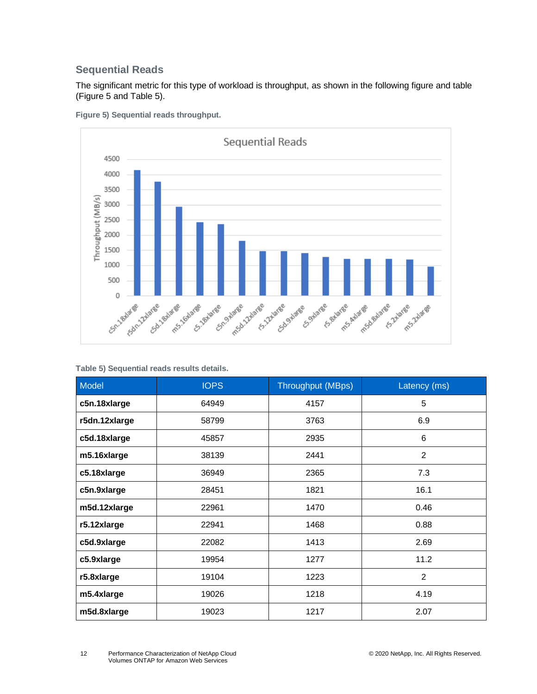### **Sequential Reads**

The significant metric for this type of workload is throughput, as shown in the following figure and table [\(Figure 5](#page-11-1) an[d Table 5\)](#page-11-0).



<span id="page-11-1"></span>**Figure 5) Sequential reads throughput.**

<span id="page-11-0"></span>**Table 5) Sequential reads results details.**

| <b>Model</b>  | <b>IOPS</b> | <b>Throughput (MBps)</b> | Latency (ms)   |
|---------------|-------------|--------------------------|----------------|
| c5n.18xlarge  | 64949       | 4157                     | 5              |
| r5dn.12xlarge | 58799       | 3763                     | 6.9            |
| c5d.18xlarge  | 45857       | 2935                     | 6              |
| m5.16xlarge   | 38139       | 2441                     | $\overline{2}$ |
| c5.18xlarge   | 36949       | 2365                     | 7.3            |
| c5n.9xlarge   | 28451       | 1821                     | 16.1           |
| m5d.12xlarge  | 22961       | 1470                     | 0.46           |
| r5.12xlarge   | 22941       | 1468                     | 0.88           |
| c5d.9xlarge   | 22082       | 1413                     | 2.69           |
| c5.9xlarge    | 19954       | 1277                     | 11.2           |
| r5.8xlarge    | 19104       | 1223                     | 2              |
| m5.4xlarge    | 19026       | 1218                     | 4.19           |
| m5d.8xlarge   | 19023       | 1217                     | 2.07           |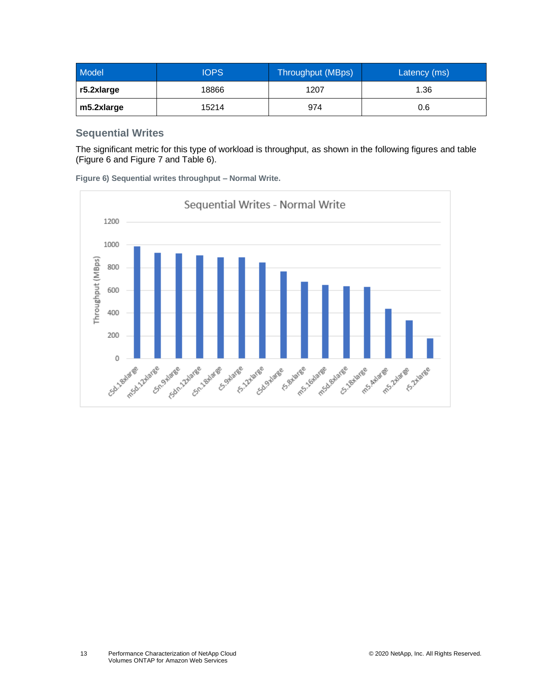| Model      | <b>IOPS</b> | Throughput (MBps) | Latency (ms) |
|------------|-------------|-------------------|--------------|
| r5.2xlarge | 18866       | 1207              | 1.36         |
| m5.2xlarge | 15214       | 974               | 0.6          |

#### **Sequential Writes**

The significant metric for this type of workload is throughput, as shown in the following figures and table [\(Figure 6](#page-12-0) and [Figure 7](#page-13-1) an[d Table 6\)](#page-13-0).

<span id="page-12-0"></span>**Figure 6) Sequential writes throughput – Normal Write.**

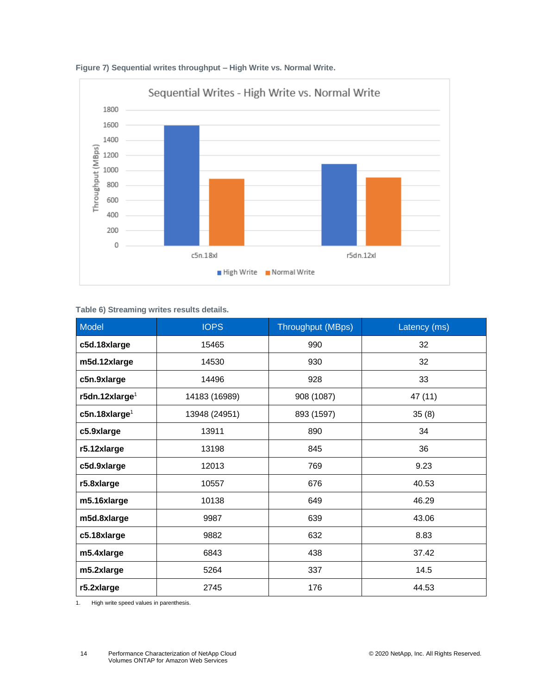

<span id="page-13-1"></span>

<span id="page-13-0"></span>**Table 6) Streaming writes results details.**

| Model                      | <b>IOPS</b>   | Throughput (MBps) | Latency (ms) |
|----------------------------|---------------|-------------------|--------------|
| c5d.18xlarge               | 15465         | 990               | 32           |
| m5d.12xlarge               | 14530         | 930               | 32           |
| c5n.9xlarge                | 14496         | 928               | 33           |
| r5dn.12xlarge <sup>1</sup> | 14183 (16989) | 908 (1087)        | 47 (11)      |
| c5n.18xlarge <sup>1</sup>  | 13948 (24951) | 893 (1597)        | 35(8)        |
| c5.9xlarge                 | 13911         | 890               | 34           |
| r5.12xlarge                | 13198         | 845               | 36           |
| c5d.9xlarge                | 12013         | 769               | 9.23         |
| r5.8xlarge                 | 10557         | 676               | 40.53        |
| m5.16xlarge                | 10138         | 649               | 46.29        |
| m5d.8xlarge                | 9987          | 639               | 43.06        |
| c5.18xlarge                | 9882          | 632               | 8.83         |
| m5.4xlarge                 | 6843          | 438               | 37.42        |
| m5.2xlarge                 | 5264          | 337               | 14.5         |
| r5.2xlarge                 | 2745          | 176               | 44.53        |

1. High write speed values in parenthesis.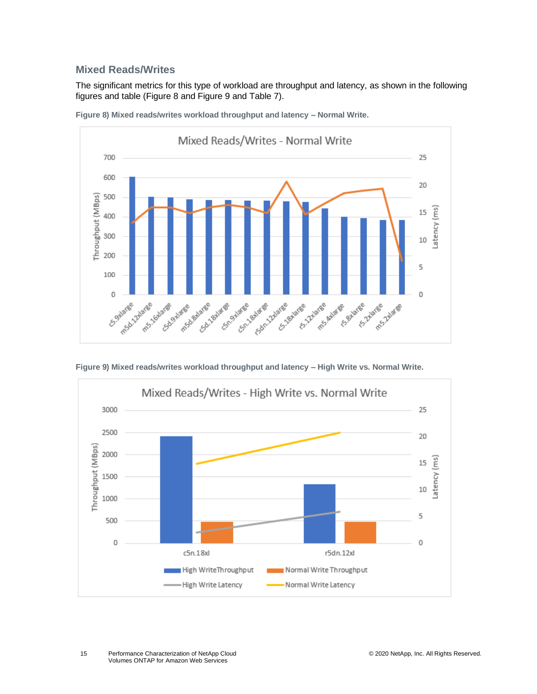#### **Mixed Reads/Writes**

The significant metrics for this type of workload are throughput and latency, as shown in the following figures and table [\(Figure 8](#page-14-0) and [Figure 9](#page-14-1) and [Table 7\)](#page-15-1).



<span id="page-14-0"></span>**Figure 8) Mixed reads/writes workload throughput and latency – Normal Write.**

<span id="page-14-1"></span>**Figure 9) Mixed reads/writes workload throughput and latency – High Write vs. Normal Write.**

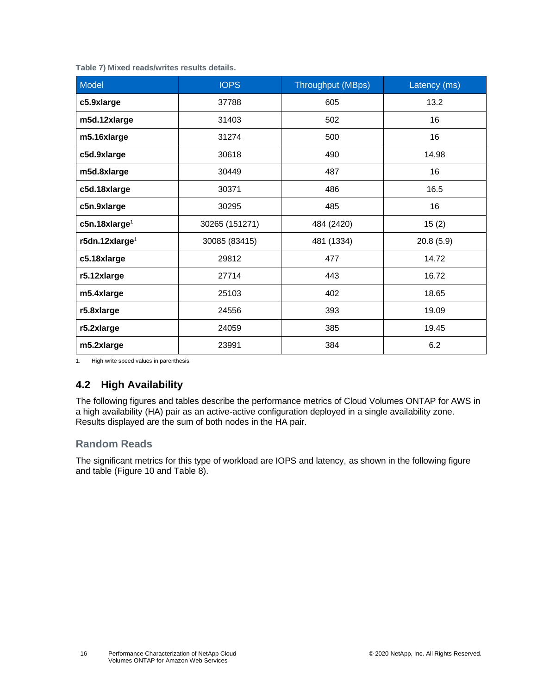<span id="page-15-1"></span>

|  |  | Table 7) Mixed reads/writes results details. |  |  |
|--|--|----------------------------------------------|--|--|
|--|--|----------------------------------------------|--|--|

| Model                        | <b>IOPS</b>    | <b>Throughput (MBps)</b> | Latency (ms) |
|------------------------------|----------------|--------------------------|--------------|
| c5.9xlarge                   | 37788          | 605                      | 13.2         |
| m5d.12xlarge                 | 31403          | 502                      | 16           |
| m5.16xlarge                  | 31274          | 500                      | 16           |
| c5d.9xlarge                  | 30618          | 490                      | 14.98        |
| m5d.8xlarge                  | 30449          | 487                      | 16           |
| c5d.18xlarge                 | 30371          | 486                      | 16.5         |
| c5n.9xlarge                  | 30295          | 485                      | 16           |
| $c$ 5n.18xlarge <sup>1</sup> | 30265 (151271) | 484 (2420)               | 15(2)        |
| r5dn.12xlarge <sup>1</sup>   | 30085 (83415)  | 481 (1334)               | 20.8(5.9)    |
| c5.18xlarge                  | 29812          | 477                      | 14.72        |
| r5.12xlarge                  | 27714          | 443                      | 16.72        |
| m5.4xlarge                   | 25103          | 402                      | 18.65        |
| r5.8xlarge                   | 24556          | 393                      | 19.09        |
| r5.2xlarge                   | 24059          | 385                      | 19.45        |
| m5.2xlarge                   | 23991          | 384                      | 6.2          |

1. High write speed values in parenthesis.

### <span id="page-15-0"></span>**4.2 High Availability**

The following figures and tables describe the performance metrics of Cloud Volumes ONTAP for AWS in a high availability (HA) pair as an active-active configuration deployed in a single availability zone. Results displayed are the sum of both nodes in the HA pair.

### **Random Reads**

The significant metrics for this type of workload are IOPS and latency, as shown in the following figure and table [\(Figure 10](#page-16-1) and [Table 8\)](#page-16-0).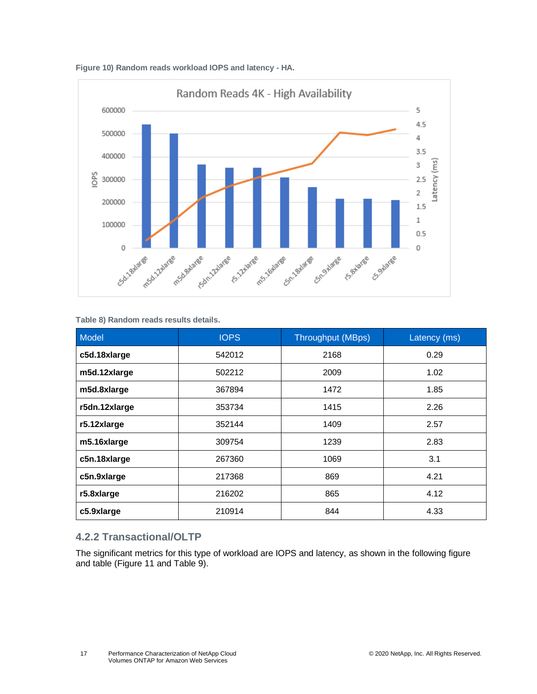<span id="page-16-1"></span>



#### <span id="page-16-0"></span>**Table 8) Random reads results details.**

| Model         | <b>IOPS</b> | <b>Throughput (MBps)</b> | Latency (ms) |
|---------------|-------------|--------------------------|--------------|
| c5d.18xlarge  | 542012      | 2168                     | 0.29         |
| m5d.12xlarge  | 502212      | 2009                     | 1.02         |
| m5d.8xlarge   | 367894      | 1472                     | 1.85         |
| r5dn.12xlarge | 353734      | 1415                     | 2.26         |
| r5.12xlarge   | 352144      | 1409                     | 2.57         |
| m5.16xlarge   | 309754      | 1239                     | 2.83         |
| c5n.18xlarge  | 267360      | 1069                     | 3.1          |
| c5n.9xlarge   | 217368      | 869                      | 4.21         |
| r5.8xlarge    | 216202      | 865                      | 4.12         |
| c5.9xlarge    | 210914      | 844                      | 4.33         |

### **4.2.2 Transactional/OLTP**

The significant metrics for this type of workload are IOPS and latency, as shown in the following figure and table [\(Figure 11](#page-17-1) and [Table 9\)](#page-17-0).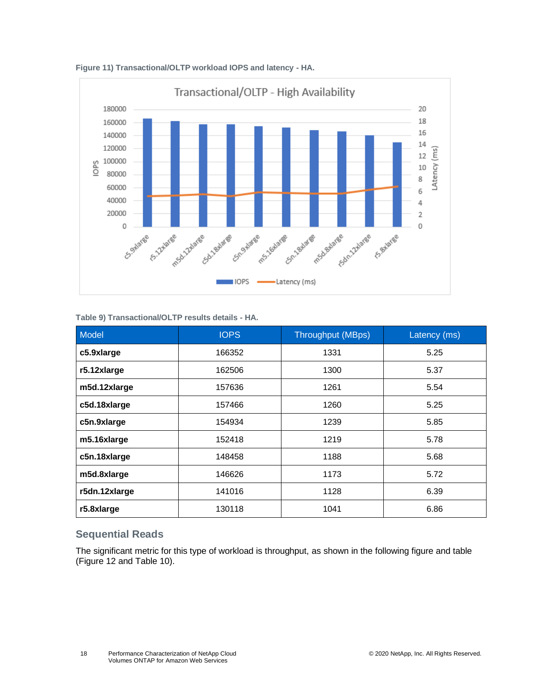

<span id="page-17-1"></span>**Figure 11) Transactional/OLTP workload IOPS and latency - HA.**

<span id="page-17-0"></span>**Table 9) Transactional/OLTP results details - HA.**

| Model         | <b>IOPS</b> | <b>Throughput (MBps)</b> | Latency (ms) |
|---------------|-------------|--------------------------|--------------|
| c5.9xlarge    | 166352      | 1331                     | 5.25         |
| r5.12xlarge   | 162506      | 1300                     | 5.37         |
| m5d.12xlarge  | 157636      | 1261                     | 5.54         |
| c5d.18xlarge  | 157466      | 1260                     | 5.25         |
| c5n.9xlarge   | 154934      | 1239                     | 5.85         |
| m5.16xlarge   | 152418      | 1219                     | 5.78         |
| c5n.18xlarge  | 148458      | 1188                     | 5.68         |
| m5d.8xlarge   | 146626      | 1173                     | 5.72         |
| r5dn.12xlarge | 141016      | 1128                     | 6.39         |
| r5.8xlarge    | 130118      | 1041                     | 6.86         |

#### **Sequential Reads**

The significant metric for this type of workload is throughput, as shown in the following figure and table [\(Figure 12](#page-18-1) and [Table 10\)](#page-18-0).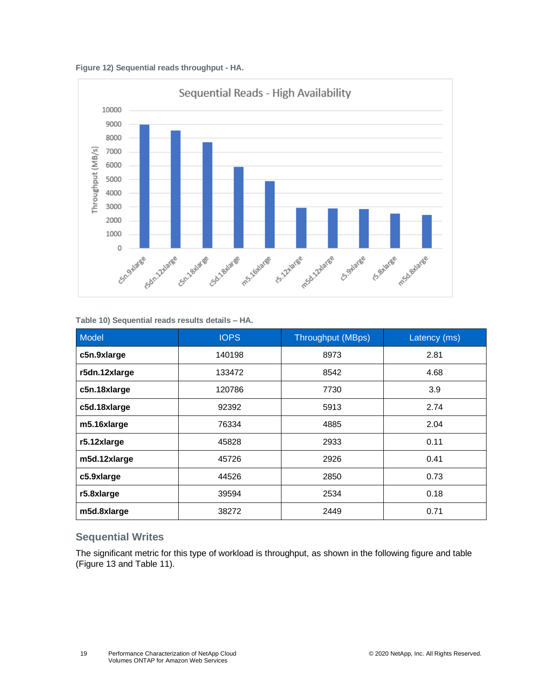<span id="page-18-1"></span>**Figure 12) Sequential reads throughput - HA.**



#### <span id="page-18-0"></span>**Table 10) Sequential reads results details – HA.**

| Model         | <b>IOPS</b> | <b>Throughput (MBps)</b> | Latency (ms) |
|---------------|-------------|--------------------------|--------------|
| c5n.9xlarge   | 140198      | 8973                     | 2.81         |
| r5dn.12xlarge | 133472      | 8542                     | 4.68         |
| c5n.18xlarge  | 120786      | 7730                     | 3.9          |
| c5d.18xlarge  | 92392       | 5913                     | 2.74         |
| m5.16xlarge   | 76334       | 4885                     | 2.04         |
| r5.12xlarge   | 45828       | 2933                     | 0.11         |
| m5d.12xlarge  | 45726       | 2926                     | 0.41         |
| c5.9xlarge    | 44526       | 2850                     | 0.73         |
| r5.8xlarge    | 39594       | 2534                     | 0.18         |
| m5d.8xlarge   | 38272       | 2449                     | 0.71         |

### **Sequential Writes**

The significant metric for this type of workload is throughput, as shown in the following figure and table [\(Figure 13](#page-19-1) and [Table 11\)](#page-19-0).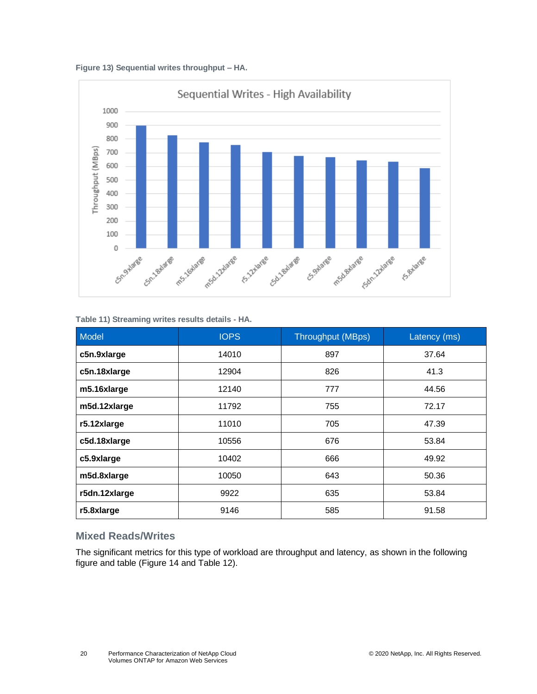<span id="page-19-1"></span>



#### <span id="page-19-0"></span>**Table 11) Streaming writes results details - HA.**

| Model         | <b>IOPS</b> | <b>Throughput (MBps)</b> | Latency (ms) |
|---------------|-------------|--------------------------|--------------|
| c5n.9xlarge   | 14010       | 897                      | 37.64        |
| c5n.18xlarge  | 12904       | 826                      | 41.3         |
| m5.16xlarge   | 12140       | 777                      | 44.56        |
| m5d.12xlarge  | 11792       | 755                      | 72.17        |
| r5.12xlarge   | 11010       | 705                      | 47.39        |
| c5d.18xlarge  | 10556       | 676                      | 53.84        |
| c5.9xlarge    | 10402       | 666                      | 49.92        |
| m5d.8xlarge   | 10050       | 643                      | 50.36        |
| r5dn.12xlarge | 9922        | 635                      | 53.84        |
| r5.8xlarge    | 9146        | 585                      | 91.58        |

#### **Mixed Reads/Writes**

The significant metrics for this type of workload are throughput and latency, as shown in the following figure and table [\(Figure 14](#page-20-2) and [Table 12\)](#page-20-1).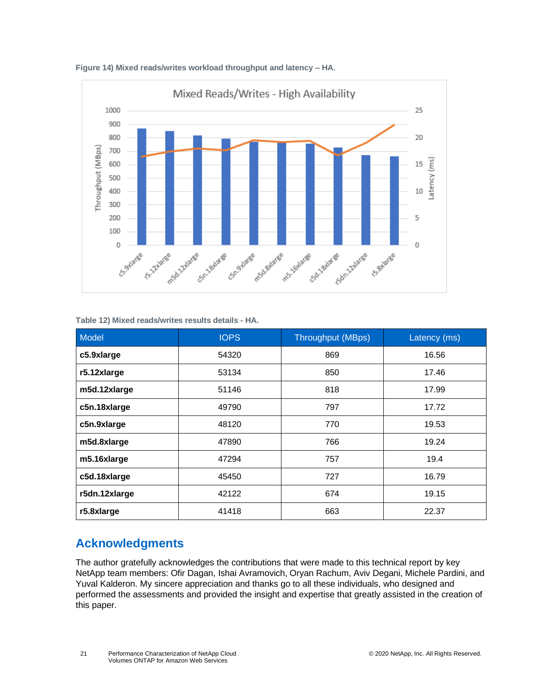

<span id="page-20-2"></span>**Figure 14) Mixed reads/writes workload throughput and latency – HA.**

#### <span id="page-20-1"></span>**Table 12) Mixed reads/writes results details - HA.**

| Model         | <b>IOPS</b> | <b>Throughput (MBps)</b> | Latency (ms) |
|---------------|-------------|--------------------------|--------------|
| c5.9xlarge    | 54320       | 869                      | 16.56        |
| r5.12xlarge   | 53134       | 850                      | 17.46        |
| m5d.12xlarge  | 51146       | 818                      | 17.99        |
| c5n.18xlarge  | 49790       | 797                      | 17.72        |
| c5n.9xlarge   | 48120       | 770                      | 19.53        |
| m5d.8xlarge   | 47890       | 766                      | 19.24        |
| m5.16xlarge   | 47294       | 757                      | 19.4         |
| c5d.18xlarge  | 45450       | 727                      | 16.79        |
| r5dn.12xlarge | 42122       | 674                      | 19.15        |
| r5.8xlarge    | 41418       | 663                      | 22.37        |

# <span id="page-20-0"></span>**Acknowledgments**

The author gratefully acknowledges the contributions that were made to this technical report by key NetApp team members: Ofir Dagan, Ishai Avramovich, Oryan Rachum, Aviv Degani, Michele Pardini, and Yuval Kalderon. My sincere appreciation and thanks go to all these individuals, who designed and performed the assessments and provided the insight and expertise that greatly assisted in the creation of this paper.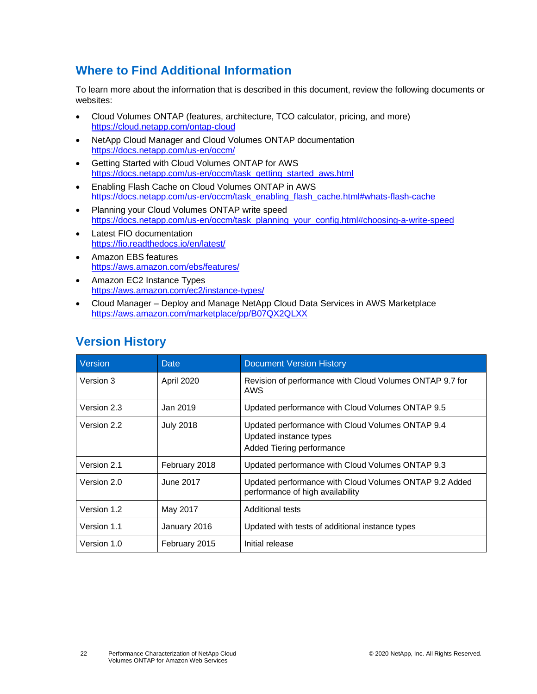# <span id="page-21-0"></span>**Where to Find Additional Information**

To learn more about the information that is described in this document, review the following documents or websites:

- Cloud Volumes ONTAP (features, architecture, TCO calculator, pricing, and more) <https://cloud.netapp.com/ontap-cloud>
- NetApp Cloud Manager and Cloud Volumes ONTAP documentation <https://docs.netapp.com/us-en/occm/>
- Getting Started with Cloud Volumes ONTAP for AWS [https://docs.netapp.com/us-en/occm/task\\_getting\\_started\\_aws.html](https://docs.netapp.com/us-en/occm/task_getting_started_aws.html)
- Enabling Flash Cache on Cloud Volumes ONTAP in AWS [https://docs.netapp.com/us-en/occm/task\\_enabling\\_flash\\_cache.html#whats-flash-cache](https://docs.netapp.com/us-en/occm/task_enabling_flash_cache.html#whats-flash-cache)
- Planning your Cloud Volumes ONTAP write speed [https://docs.netapp.com/us-en/occm/task\\_planning\\_your\\_config.html#choosing-a-write-speed](https://docs.netapp.com/us-en/occm/task_planning_your_config.html#choosing-a-write-speed)
- **Latest FIO documentation** <https://fio.readthedocs.io/en/latest/>
- Amazon EBS features <https://aws.amazon.com/ebs/features/>
- Amazon EC2 Instance Types <https://aws.amazon.com/ec2/instance-types/>
- Cloud Manager Deploy and Manage NetApp Cloud Data Services in AWS Marketplace <https://aws.amazon.com/marketplace/pp/B07QX2QLXX>

# <span id="page-21-1"></span>**Version History**

| Version     | Date             | <b>Document Version History</b>                                                                         |
|-------------|------------------|---------------------------------------------------------------------------------------------------------|
| Version 3   | April 2020       | Revision of performance with Cloud Volumes ONTAP 9.7 for<br>AWS                                         |
| Version 2.3 | Jan 2019         | Updated performance with Cloud Volumes ONTAP 9.5                                                        |
| Version 2.2 | <b>July 2018</b> | Updated performance with Cloud Volumes ONTAP 9.4<br>Updated instance types<br>Added Tiering performance |
| Version 2.1 | February 2018    | Updated performance with Cloud Volumes ONTAP 9.3                                                        |
| Version 2.0 | June 2017        | Updated performance with Cloud Volumes ONTAP 9.2 Added<br>performance of high availability              |
| Version 1.2 | May 2017         | <b>Additional tests</b>                                                                                 |
| Version 1.1 | January 2016     | Updated with tests of additional instance types                                                         |
| Version 1.0 | February 2015    | Initial release                                                                                         |